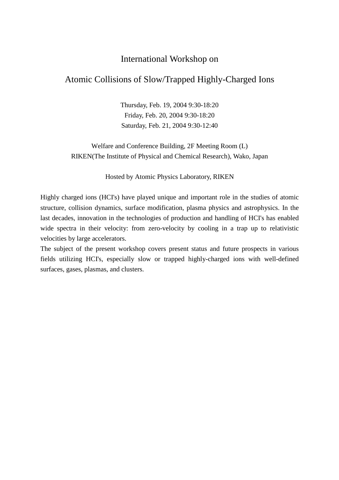## International Workshop on

# Atomic Collisions of Slow/Trapped Highly-Charged Ions

Thursday, Feb. 19, 2004 9:30-18:20 Friday, Feb. 20, 2004 9:30-18:20 Saturday, Feb. 21, 2004 9:30-12:40

Welfare and Conference Building, 2F Meeting Room (L) RIKEN(The Institute of Physical and Chemical Research), Wako, Japan

Hosted by Atomic Physics Laboratory, RIKEN

Highly charged ions (HCI's) have played unique and important role in the studies of atomic structure, collision dynamics, surface modification, plasma physics and astrophysics. In the last decades, innovation in the technologies of production and handling of HCI's has enabled wide spectra in their velocity: from zero-velocity by cooling in a trap up to relativistic velocities by large accelerators.

The subject of the present workshop covers present status and future prospects in various fields utilizing HCI's, especially slow or trapped highly-charged ions with well-defined surfaces, gases, plasmas, and clusters.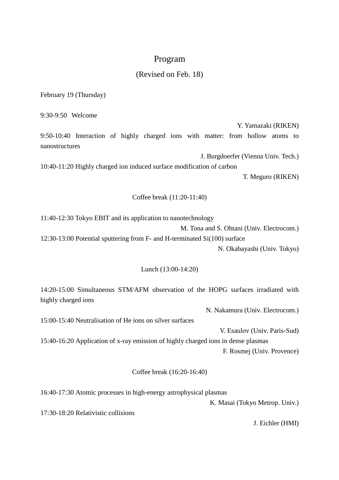### Program

### (Revised on Feb. 18)

February 19 (Thursday)

9:30-9:50 Welcome

Y. Yamazaki (RIKEN) 9:50-10:40 Interaction of highly charged ions with matter: from hollow atoms to nanostructures

J. Burgdoerfer (Vienna Univ. Tech.) 10:40-11:20 Highly charged ion induced surface modification of carbon T. Meguro (RIKEN)

Coffee break (11:20-11:40)

11:40-12:30 Tokyo EBIT and its application to nanotechnology M. Tona and S. Ohtani (Univ. Electrocom.) 12:30-13:00 Potential sputtering from F- and H-terminated Si(100) surface N. Okabayashi (Univ. Tokyo)

#### Lunch (13:00-14:20)

14:20-15:00 Simultaneous STM/AFM observation of the HOPG surfaces irradiated with highly charged ions

N. Nakamura (Univ. Electrocom.)

15:00-15:40 Neutralisation of He ions on silver surfaces

V. Esaulov (Univ. Paris-Sud) 15:40-16:20 Application of x-ray emission of highly charged ions in dense plasmas F. Rosmej (Univ. Provence)

Coffee break (16:20-16:40)

16:40-17:30 Atomic processes in high-energy astrophysical plasmas

K. Masai (Tokyo Metrop. Univ.)

17:30-18:20 Relativistic collisions

J. Eichler (HMI)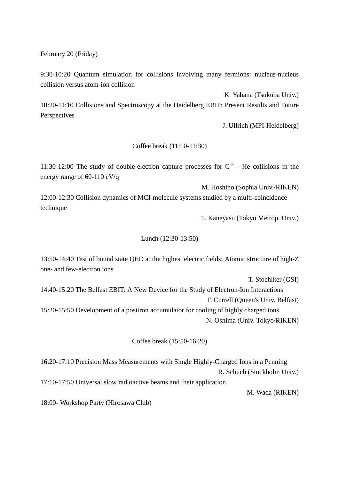February 20 (Friday)

9:30-10:20 Quantum simulation for collisions involving many fermions: nucleus-nucleus collision versus atom-ion collision

K. Yabana (Tsukuba Univ.) 10:20-11:10 Collisions and Spectroscopy at the Heidelberg EBIT: Present Results and Future Perspectives

J. Ullrich (MPI-Heidelberg)

#### Coffee break (11:10-11:30)

11:30-12:00 The study of double-electron capture processes for  $C<sup>4+</sup>$  - He collisions in the energy range of 60-110 eV/q

M. Hoshino (Sophia Univ./RIKEN) 12:00-12:30 Collision dynamics of MCI-molecule systems studied by a multi-coincidence technique

T. Kaneyasu (Tokyo Metrop. Univ.)

#### Lunch (12:30-13:50)

13:50-14:40 Test of bound state QED at the highest electric fields: Atomic structure of high-Z one- and few-electron ions

T. Stoehlker (GSI)

14:40-15:20 The Belfast EBIT: A New Device for the Study of Electron-Ion Interactions F. Currell (Queen's Univ. Belfast)

15:20-15:50 Development of a positron accumulator for cooling of highly charged ions N. Oshima (Univ. Tokyo/RIKEN)

Coffee break (15:50-16:20)

16:20-17:10 Precision Mass Measurements with Single Highly-Charged Ions in a Penning R. Schuch (Stockholm Univ.)

17:10-17:50 Universal slow radioactive beams and their application

M. Wada (RIKEN)

18:00- Workshop Party (Hirosawa Club)